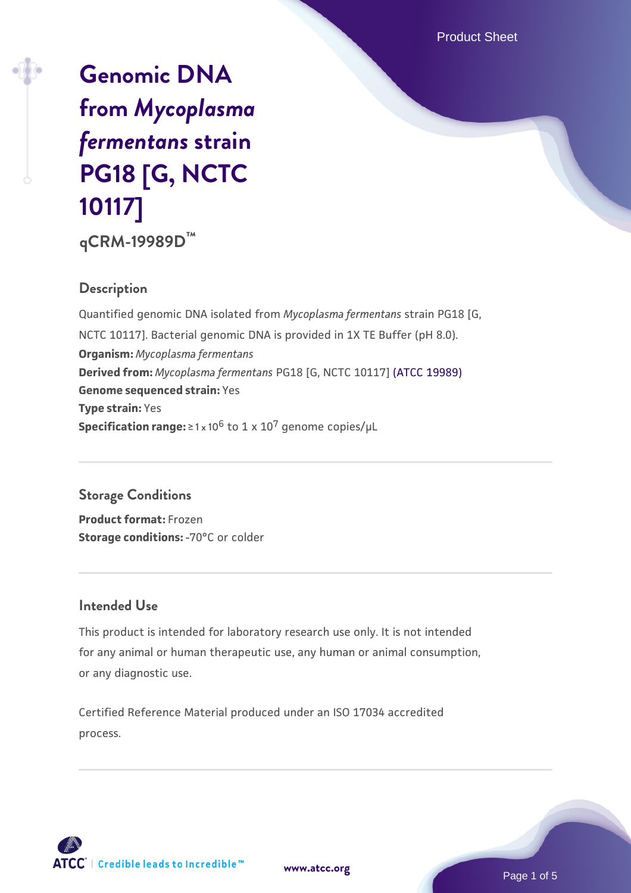Product Sheet

# **[Genomic DNA](https://www.atcc.org/products/qcrm-19989d) [from](https://www.atcc.org/products/qcrm-19989d)** *[Mycoplasma](https://www.atcc.org/products/qcrm-19989d) [fermentans](https://www.atcc.org/products/qcrm-19989d)* **[strain](https://www.atcc.org/products/qcrm-19989d) [PG18 \[G, NCTC](https://www.atcc.org/products/qcrm-19989d) [10117\]](https://www.atcc.org/products/qcrm-19989d) qCRM-19989D™**

## **Description**

Quantified genomic DNA isolated from *Mycoplasma fermentans* strain PG18 [G, NCTC 10117]. Bacterial genomic DNA is provided in 1X TE Buffer (pH 8.0). **Organism:** *Mycoplasma fermentans* **Derived from:** *Mycoplasma fermentans* PG18 [G, NCTC 10117] [\(ATCC 19989\)](https://www.atcc.org/products/19989) **Genome sequenced strain:** Yes **Type strain:** Yes **Specification range:**  $\geq 1 \times 10^6$  to  $1 \times 10^7$  genome copies/ $\mu$ L

## **Storage Conditions**

**Product format:** Frozen **Storage conditions: - 70°C** or colder

#### **Intended Use**

This product is intended for laboratory research use only. It is not intended for any animal or human therapeutic use, any human or animal consumption, or any diagnostic use.

Certified Reference Material produced under an ISO 17034 accredited process.



**[www.atcc.org](http://www.atcc.org)**

Page 1 of 5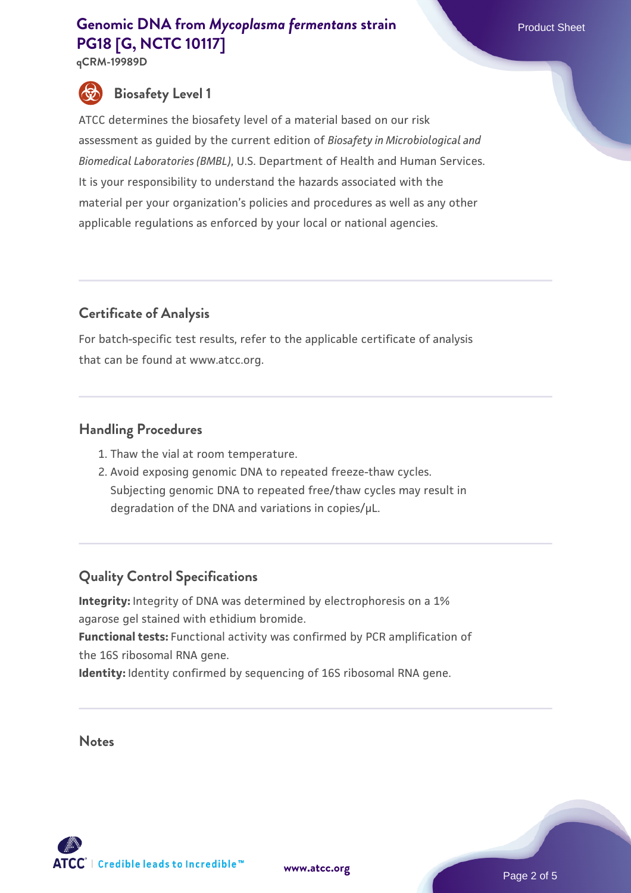**qCRM-19989D**



# **Biosafety Level 1**

ATCC determines the biosafety level of a material based on our risk assessment as guided by the current edition of *Biosafety in Microbiological and Biomedical Laboratories (BMBL)*, U.S. Department of Health and Human Services. It is your responsibility to understand the hazards associated with the material per your organization's policies and procedures as well as any other applicable regulations as enforced by your local or national agencies.

# **Certificate of Analysis**

For batch-specific test results, refer to the applicable certificate of analysis that can be found at www.atcc.org.

## **Handling Procedures**

- 1. Thaw the vial at room temperature.
- 2. Avoid exposing genomic DNA to repeated freeze-thaw cycles. Subjecting genomic DNA to repeated free/thaw cycles may result in degradation of the DNA and variations in copies/µL.

# **Quality Control Specifications**

**Integrity:** Integrity of DNA was determined by electrophoresis on a 1% agarose gel stained with ethidium bromide. **Functional tests:** Functional activity was confirmed by PCR amplification of the 16S ribosomal RNA gene.

**Identity:** Identity confirmed by sequencing of 16S ribosomal RNA gene.

**Notes**





Page 2 of 5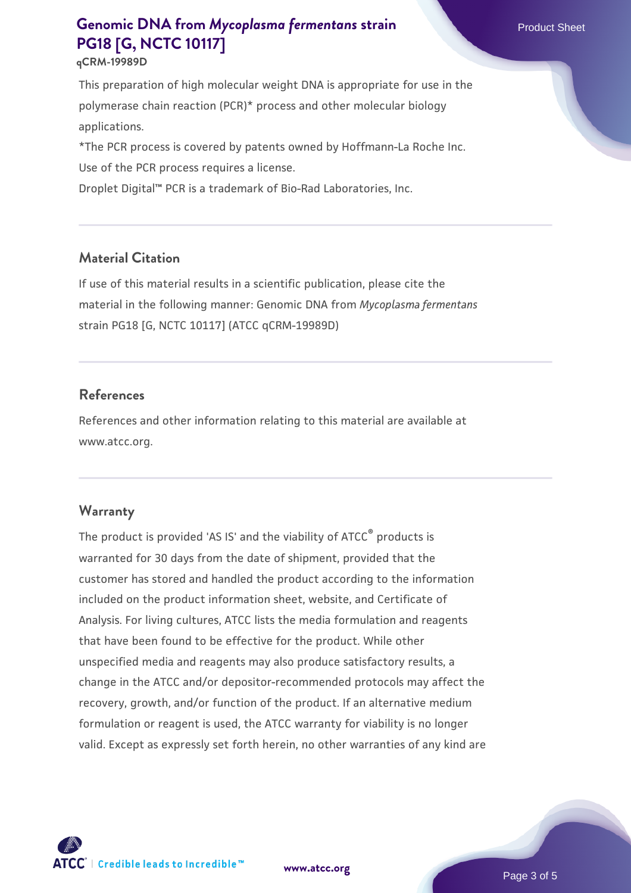#### **qCRM-19989D**

This preparation of high molecular weight DNA is appropriate for use in the polymerase chain reaction (PCR)\* process and other molecular biology applications.

\*The PCR process is covered by patents owned by Hoffmann-La Roche Inc. Use of the PCR process requires a license.

Droplet Digital™ PCR is a trademark of Bio-Rad Laboratories, Inc.

#### **Material Citation**

If use of this material results in a scientific publication, please cite the material in the following manner: Genomic DNA from *Mycoplasma fermentans* strain PG18 [G, NCTC 10117] (ATCC qCRM-19989D)

#### **References**

References and other information relating to this material are available at www.atcc.org.

#### **Warranty**

The product is provided 'AS IS' and the viability of ATCC® products is warranted for 30 days from the date of shipment, provided that the customer has stored and handled the product according to the information included on the product information sheet, website, and Certificate of Analysis. For living cultures, ATCC lists the media formulation and reagents that have been found to be effective for the product. While other unspecified media and reagents may also produce satisfactory results, a change in the ATCC and/or depositor-recommended protocols may affect the recovery, growth, and/or function of the product. If an alternative medium formulation or reagent is used, the ATCC warranty for viability is no longer valid. Except as expressly set forth herein, no other warranties of any kind are

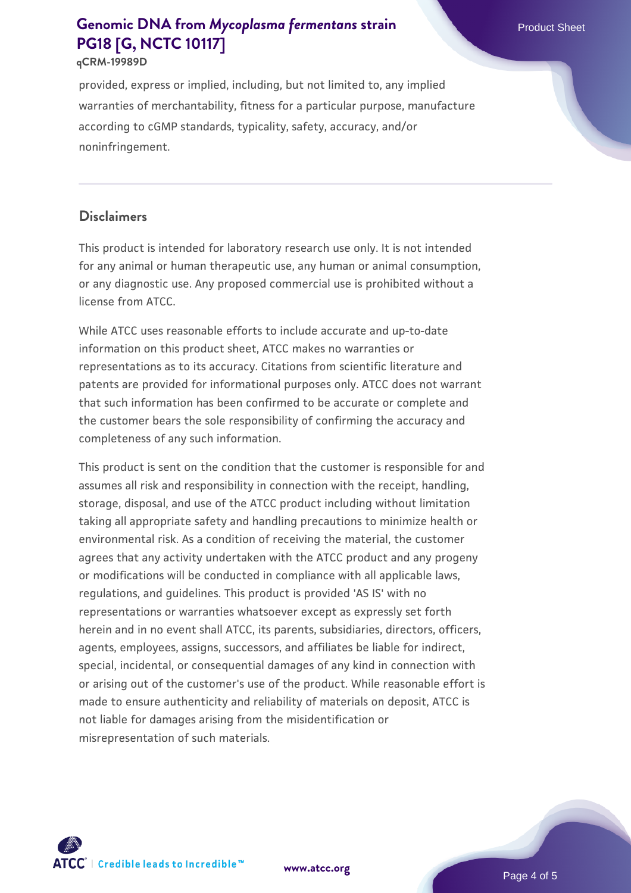#### **qCRM-19989D**

provided, express or implied, including, but not limited to, any implied warranties of merchantability, fitness for a particular purpose, manufacture according to cGMP standards, typicality, safety, accuracy, and/or noninfringement.

## **Disclaimers**

This product is intended for laboratory research use only. It is not intended for any animal or human therapeutic use, any human or animal consumption, or any diagnostic use. Any proposed commercial use is prohibited without a license from ATCC.

While ATCC uses reasonable efforts to include accurate and up-to-date information on this product sheet, ATCC makes no warranties or representations as to its accuracy. Citations from scientific literature and patents are provided for informational purposes only. ATCC does not warrant that such information has been confirmed to be accurate or complete and the customer bears the sole responsibility of confirming the accuracy and completeness of any such information.

This product is sent on the condition that the customer is responsible for and assumes all risk and responsibility in connection with the receipt, handling, storage, disposal, and use of the ATCC product including without limitation taking all appropriate safety and handling precautions to minimize health or environmental risk. As a condition of receiving the material, the customer agrees that any activity undertaken with the ATCC product and any progeny or modifications will be conducted in compliance with all applicable laws, regulations, and guidelines. This product is provided 'AS IS' with no representations or warranties whatsoever except as expressly set forth herein and in no event shall ATCC, its parents, subsidiaries, directors, officers, agents, employees, assigns, successors, and affiliates be liable for indirect, special, incidental, or consequential damages of any kind in connection with or arising out of the customer's use of the product. While reasonable effort is made to ensure authenticity and reliability of materials on deposit, ATCC is not liable for damages arising from the misidentification or misrepresentation of such materials.